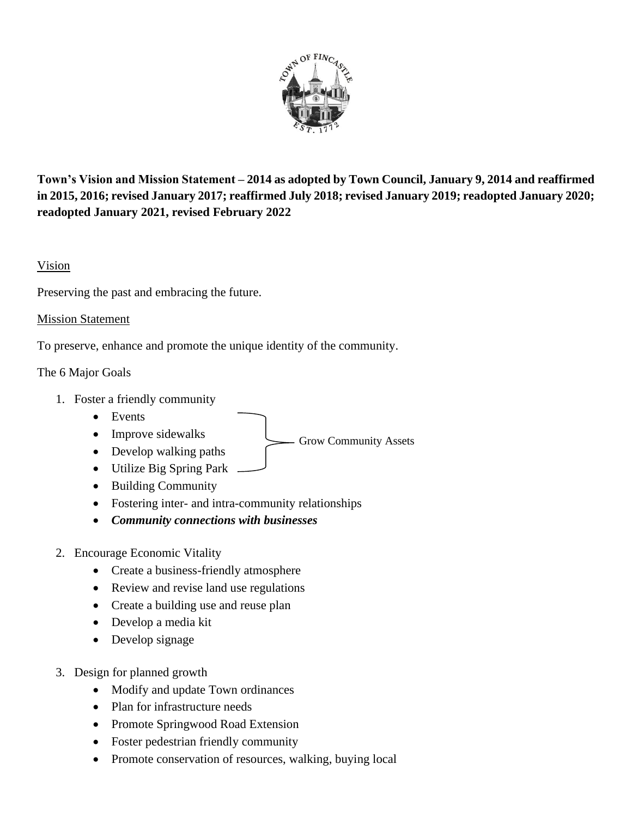

**Town's Vision and Mission Statement – 2014 as adopted by Town Council, January 9, 2014 and reaffirmed in 2015, 2016; revised January 2017; reaffirmed July 2018; revised January 2019; readopted January 2020; readopted January 2021, revised February 2022**

Grow Community Assets

## Vision

Preserving the past and embracing the future.

## Mission Statement

To preserve, enhance and promote the unique identity of the community.

## The 6 Major Goals

- 1. Foster a friendly community
	- Events
	- Improve sidewalks
	- Develop walking paths
	- Utilize Big Spring Park
	- Building Community
	- Fostering inter- and intra-community relationships
	- *Community connections with businesses*
- 2. Encourage Economic Vitality
	- Create a business-friendly atmosphere
	- Review and revise land use regulations
	- Create a building use and reuse plan
	- Develop a media kit
	- Develop signage
- 3. Design for planned growth
	- Modify and update Town ordinances
	- Plan for infrastructure needs
	- Promote Springwood Road Extension
	- Foster pedestrian friendly community
	- Promote conservation of resources, walking, buying local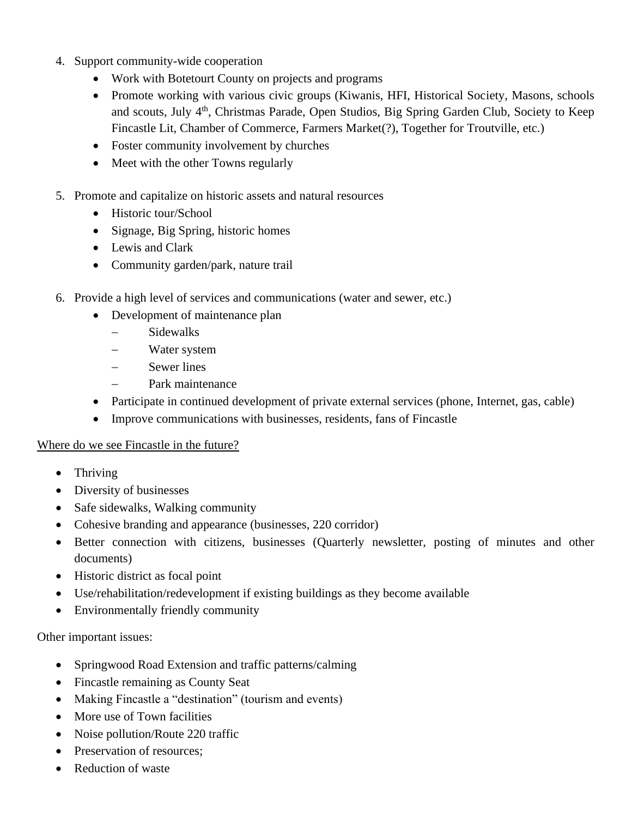- 4. Support community-wide cooperation
	- Work with Botetourt County on projects and programs
	- Promote working with various civic groups (Kiwanis, HFI, Historical Society, Masons, schools and scouts, July 4<sup>th</sup>, Christmas Parade, Open Studios, Big Spring Garden Club, Society to Keep Fincastle Lit, Chamber of Commerce, Farmers Market(?), Together for Troutville, etc.)
	- Foster community involvement by churches
	- Meet with the other Towns regularly
- 5. Promote and capitalize on historic assets and natural resources
	- Historic tour/School
	- Signage, Big Spring, historic homes
	- Lewis and Clark
	- Community garden/park, nature trail
- 6. Provide a high level of services and communications (water and sewer, etc.)
	- Development of maintenance plan
		- − Sidewalks
		- − Water system
		- − Sewer lines
		- − Park maintenance
	- Participate in continued development of private external services (phone, Internet, gas, cable)
	- Improve communications with businesses, residents, fans of Fincastle

## Where do we see Fincastle in the future?

- Thriving
- Diversity of businesses
- Safe sidewalks, Walking community
- Cohesive branding and appearance (businesses, 220 corridor)
- Better connection with citizens, businesses (Quarterly newsletter, posting of minutes and other documents)
- Historic district as focal point
- Use/rehabilitation/redevelopment if existing buildings as they become available
- Environmentally friendly community

Other important issues:

- Springwood Road Extension and traffic patterns/calming
- Fincastle remaining as County Seat
- Making Fincastle a "destination" (tourism and events)
- More use of Town facilities
- Noise pollution/Route 220 traffic
- Preservation of resources:
- Reduction of waste